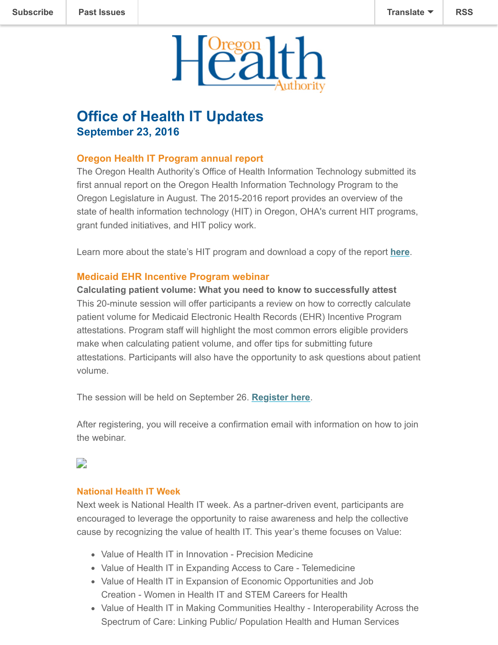

# **Office of Health IT Updates September 23, 2016**

## **Oregon Health IT Program annual report**

The Oregon Health Authority's Office of Health Information Technology submitted its first annual report on the Oregon Health Information Technology Program to the Oregon Legislature in August. The 2015-2016 report provides an overview of the state of health information technology (HIT) in Oregon, OHA's current HIT programs, grant funded initiatives, and HIT policy work.

Learn more about the state's HIT program and download a copy of the report **[here](http://www.oregon.gov/oha/OHIT/Pages/News-Item.aspx?View=%7b33C6F723-D700-46DD-806C-313C6318A831%7d&SelectedID=26#article)**.

### **Medicaid EHR Incentive Program webinar**

**Calculating patient volume: What you need to know to successfully attest** This 20-minute session will offer participants a review on how to correctly calculate patient volume for Medicaid Electronic Health Records (EHR) Incentive Program attestations. Program staff will highlight the most common errors eligible providers make when calculating patient volume, and offer tips for submitting future attestations. Participants will also have the opportunity to ask questions about patient volume.

The session will be held on September 26. **[Register here](http://www.oregon.gov/oha/MHIT/pages/webinars.aspx)**.

After registering, you will receive a confirmation email with information on how to join the webinar.

# $\overline{\phantom{a}}$

#### **National Health IT Week**

Next week is National Health IT week. As a partner-driven event, participants are encouraged to leverage the opportunity to raise awareness and help the collective cause by recognizing the value of health IT. This year's theme focuses on Value:

- Value of Health IT in Innovation Precision Medicine
- Value of Health IT in Expanding Access to Care Telemedicine
- Value of Health IT in Expansion of Economic Opportunities and Job Creation - Women in Health IT and STEM Careers for Health
- Value of Health IT in Making Communities Healthy Interoperability Across the Spectrum of Care: Linking Public/ Population Health and Human Services